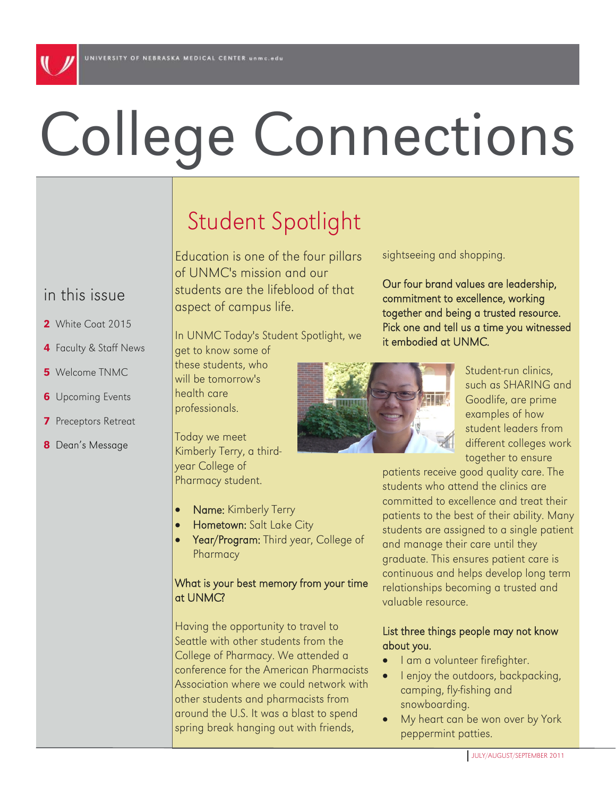# College Connections

## in this issue

- 2 White Coat 2015
- 4 Faculty & Staff News
- 5 Welcome TNMC
- **6** Upcoming Events
- 7 Preceptors Retreat
- 8 Dean's Message

# Student Spotlight

Education is one of the four pillars of UNMC's mission and our students are the lifeblood of that aspect of campus life.

In UNMC Today's Student Spotlight, we

get to know some of these students, who will be tomorrow's health care professionals.

Today we meet Kimberly Terry, a thirdyear College of Pharmacy student.

- Name: Kimberly Terry
- Hometown: Salt Lake City
- Year/Program: Third year, College of **Pharmacy**

#### What is your best memory from your time at UNMC?

Having the opportunity to travel to Seattle with other students from the College of Pharmacy. We attended a conference for the American Pharmacists Association where we could network with other students and pharmacists from around the U.S. It was a blast to spend spring break hanging out with friends,

sightseeing and shopping.

Our four brand values are leadership, commitment to excellence, working together and being a trusted resource. Pick one and tell us a time you witnessed it embodied at UNMC.



Student-run clinics, such as SHARING and Goodlife, are prime examples of how student leaders from different colleges work together to ensure

patients receive good quality care. The students who attend the clinics are committed to excellence and treat their patients to the best of their ability. Many students are assigned to a single patient and manage their care until they graduate. This ensures patient care is continuous and helps develop long term relationships becoming a trusted and valuable resource.

#### List three things people may not know about you.

- I am a volunteer firefighter.
- I enjoy the outdoors, backpacking, camping, fly-fishing and snowboarding.
- My heart can be won over by York peppermint patties.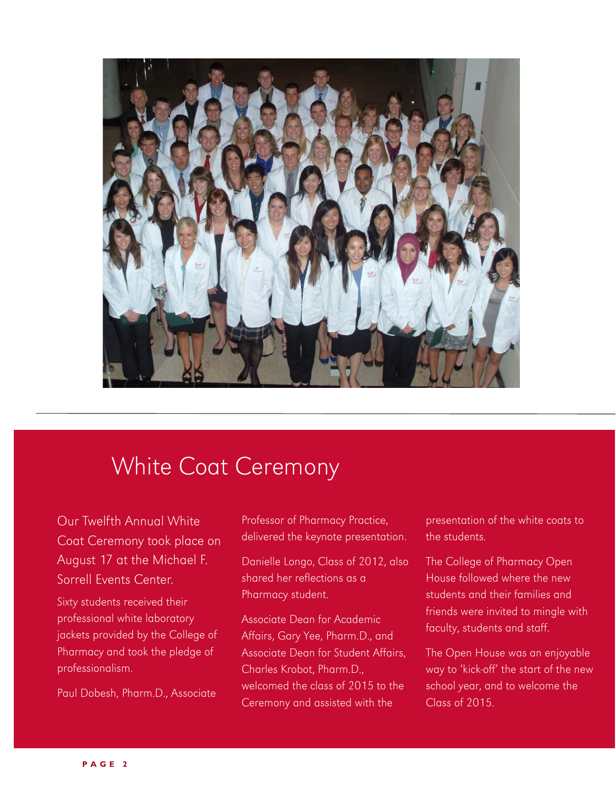

## White Coat Ceremony

Our Twelfth Annual White Coat Ceremony took place on August 17 at the Michael F. Sorrell Events Center. Sixty students received their professional white laboratory jackets provided by the College of Pharmacy and took the pledge of professionalism.

Paul Dobesh, Pharm.D., Associate

Professor of Pharmacy Practice, delivered the keynote presentation.

Danielle Longo, Class of 2012, also shared her reflections as a Pharmacy student.

Associate Dean for Academic Affairs, Gary Yee, Pharm.D., and Associate Dean for Student Affairs, Charles Krobot, Pharm.D., welcomed the class of 2015 to the Ceremony and assisted with the

presentation of the white coats to the students.

The College of Pharmacy Open House followed where the new students and their families and friends were invited to mingle with faculty, students and staff.

The Open House was an enjoyable way to 'kick-off' the start of the new school year, and to welcome the Class of 2015.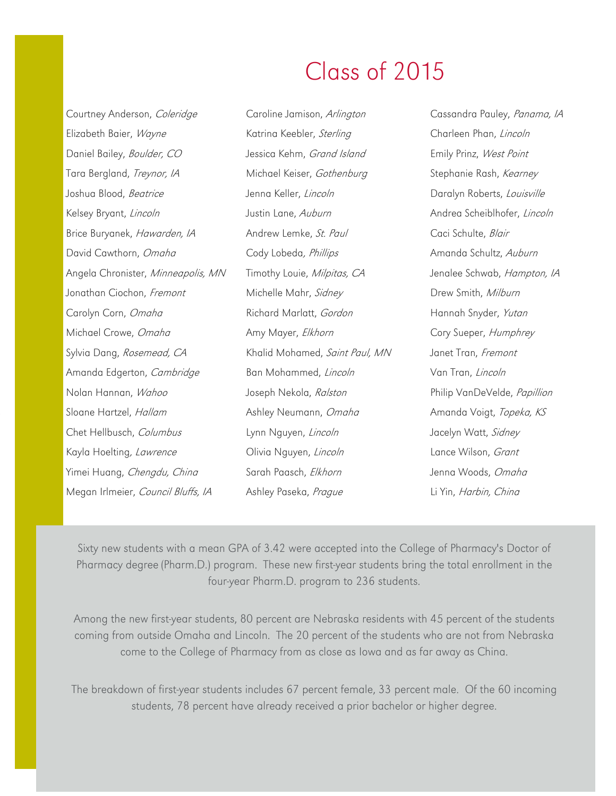# Class of 2015

| Courtney Anderson, Coleridge       | Caroline Jamison, Arlington    | Cassandra Pauley, Panama, IA |
|------------------------------------|--------------------------------|------------------------------|
| Elizabeth Baier, Wayne             | Katrina Keebler, Sterling      | Charleen Phan, Lincoln       |
| Daniel Bailey, Boulder, CO         | Jessica Kehm, Grand Island     | Emily Prinz, West Point      |
| Tara Bergland, Treynor, IA         | Michael Keiser, Gothenburg     | Stephanie Rash, Kearney      |
| Joshua Blood, Beatrice             | Jenna Keller, Lincoln          | Daralyn Roberts, Louisville  |
| Kelsey Bryant, Lincoln             | Justin Lane, Auburn            | Andrea Scheiblhofer, Lincoln |
| Brice Buryanek, Hawarden, IA       | Andrew Lemke, St. Paul         | Caci Schulte, Blair          |
| David Cawthorn, Omaha              | Cody Lobeda, Phillips          | Amanda Schultz, Auburn       |
| Angela Chronister, Minneapolis, MN | Timothy Louie, Milpitas, CA    | Jenalee Schwab, Hampton, IA  |
| Jonathan Ciochon, Fremont          | Michelle Mahr, Sidney          | Drew Smith, Milburn          |
| Carolyn Corn, Omaha                | Richard Marlatt, Gordon        | Hannah Snyder, Yutan         |
| Michael Crowe, Omaha               | Amy Mayer, Elkhorn             | Cory Sueper, Humphrey        |
| Sylvia Dang, Rosemead, CA          | Khalid Mohamed, Saint Paul, MN | Janet Tran, Fremont          |
| Amanda Edgerton, Cambridge         | Ban Mohammed, Lincoln          | Van Tran, Lincoln            |
| Nolan Hannan, Wahoo                | Joseph Nekola, Ralston         | Philip VanDeVelde, Papillion |
| Sloane Hartzel, Hallam             | Ashley Neumann, Omaha          | Amanda Voigt, Topeka, KS     |
| Chet Hellbusch, Columbus           | Lynn Nguyen, Lincoln           | Jacelyn Watt, Sidney         |
| Kayla Hoelting, Lawrence           | Olivia Nguyen, Lincoln         | Lance Wilson, Grant          |
| Yimei Huang, Chengdu, China        | Sarah Paasch, Elkhorn          | Jenna Woods, Omaha           |
| Megan Irlmeier, Council Bluffs, IA | Ashley Paseka, Prague          | Li Yin, Harbin, China        |

Sixty new students with a mean GPA of 3.42 were accepted into the College of Pharmacy's Doctor of Pharmacy degree (Pharm.D.) program. These new first-year students bring the total enrollment in the four-year Pharm.D. program to 236 students.

Among the new first-year students, 80 percent are Nebraska residents with 45 percent of the students coming from outside Omaha and Lincoln. The 20 percent of the students who are not from Nebraska come to the College of Pharmacy from as close as Iowa and as far away as China.

The breakdown of first-year students includes 67 percent female, 33 percent male. Of the 60 incoming students, 78 percent have already received a prior bachelor or higher degree.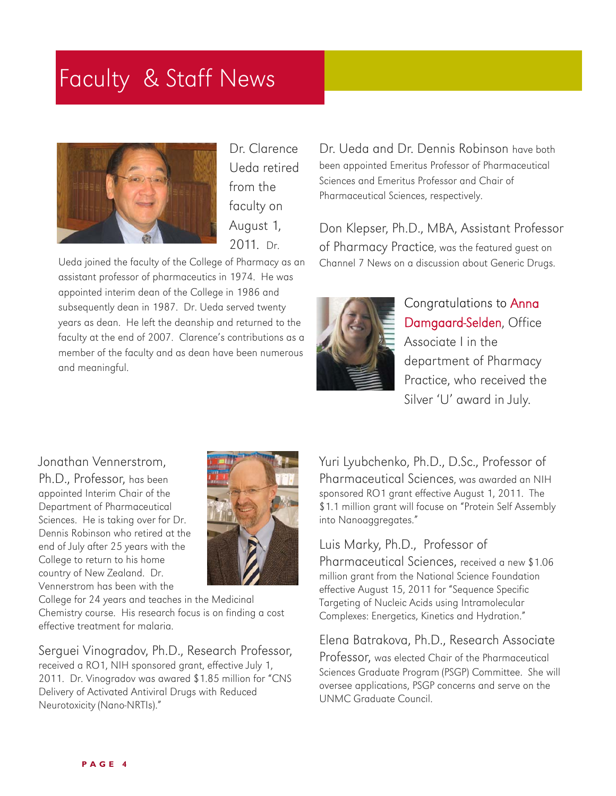## Faculty & Staff News



Dr. Clarence Ueda retired from the faculty on August 1, 2011. Dr.

Ueda joined the faculty of the College of Pharmacy as an assistant professor of pharmaceutics in 1974. He was appointed interim dean of the College in 1986 and subsequently dean in 1987. Dr. Ueda served twenty years as dean. He left the deanship and returned to the faculty at the end of 2007. Clarence's contributions as a member of the faculty and as dean have been numerous and meaningful.

Dr. Ueda and Dr. Dennis Robinson have both been appointed Emeritus Professor of Pharmaceutical Sciences and Emeritus Professor and Chair of Pharmaceutical Sciences, respectively.

Don Klepser, Ph.D., MBA, Assistant Professor of Pharmacy Practice, was the featured guest on Channel 7 News on a discussion about Generic Drugs.



Congratulations to Anna Damgaard-Selden, Office Associate I in the department of Pharmacy Practice, who received the Silver 'U' award in July.

#### Jonathan Vennerstrom,

Ph.D., Professor, has been appointed Interim Chair of the Department of Pharmaceutical Sciences. He is taking over for Dr. Dennis Robinson who retired at the end of July after 25 years with the College to return to his home country of New Zealand. Dr. Vennerstrom has been with the



College for 24 years and teaches in the Medicinal Chemistry course. His research focus is on finding a cost effective treatment for malaria.

Serguei Vinogradov, Ph.D., Research Professor, received a RO1, NIH sponsored grant, effective July 1, 2011. Dr. Vinogradov was awared \$1.85 million for "CNS Delivery of Activated Antiviral Drugs with Reduced Neurotoxicity (Nano-NRTIs)."

Yuri Lyubchenko, Ph.D., D.Sc., Professor of Pharmaceutical Sciences, was awarded an NIH sponsored RO1 grant effective August 1, 2011. The \$1.1 million grant will focuse on "Protein Self Assembly into Nanoaggregates."

#### Luis Marky, Ph.D., Professor of

Pharmaceutical Sciences, received a new \$1.06 million grant from the National Science Foundation effective August 15, 2011 for "Sequence Specific Targeting of Nucleic Acids using Intramolecular Complexes: Energetics, Kinetics and Hydration."

#### Elena Batrakova, Ph.D., Research Associate

Professor, was elected Chair of the Pharmaceutical Sciences Graduate Program (PSGP) Committee. She will oversee applications, PSGP concerns and serve on the UNMC Graduate Council.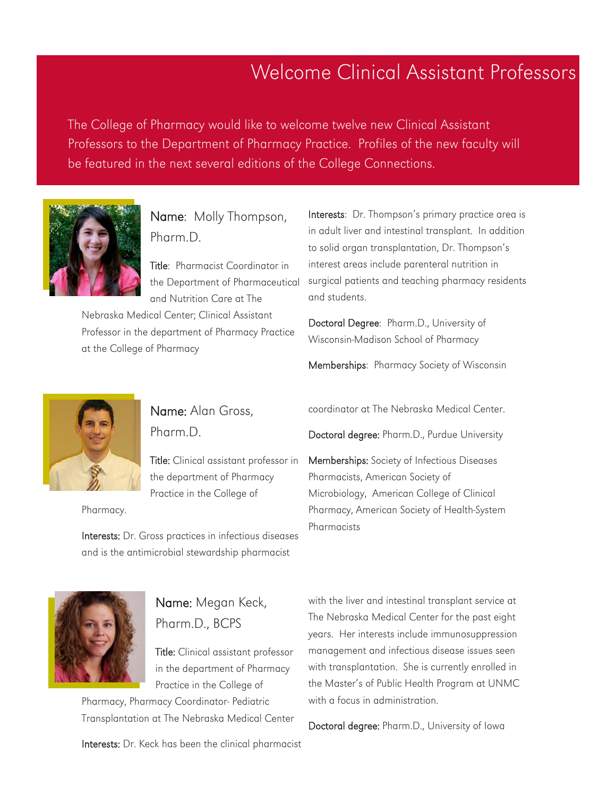## Welcome Clinical Assistant Professors

The College of Pharmacy would like to welcome twelve new Clinical Assistant Professors to the Department of Pharmacy Practice. Profiles of the new faculty will be featured in the next several editions of the College Connections.



Name: Molly Thompson, Pharm.D.

Title: Pharmacist Coordinator in the Department of Pharmaceutical and Nutrition Care at The

Nebraska Medical Center; Clinical Assistant Professor in the department of Pharmacy Practice at the College of Pharmacy

Interests: Dr. Thompson's primary practice area is in adult liver and intestinal transplant. In addition to solid organ transplantation, Dr. Thompson's interest areas include parenteral nutrition in surgical patients and teaching pharmacy residents and students.

Doctoral Degree: Pharm.D., University of Wisconsin-Madison School of Pharmacy

Memberships: Pharmacy Society of Wisconsin



Name: Alan Gross, Pharm.D.

Title: Clinical assistant professor in the department of Pharmacy Practice in the College of

Pharmacy.

Interests: Dr. Gross practices in infectious diseases and is the antimicrobial stewardship pharmacist

coordinator at The Nebraska Medical Center.

Doctoral degree: Pharm.D., Purdue University

Memberships: Society of Infectious Diseases Pharmacists, American Society of Microbiology, American College of Clinical Pharmacy, American Society of Health-System Pharmacists



## Name: Megan Keck, Pharm.D., BCPS

Title: Clinical assistant professor in the department of Pharmacy Practice in the College of

Pharmacy, Pharmacy Coordinator- Pediatric Transplantation at The Nebraska Medical Center

Interests: Dr. Keck has been the clinical pharmacist

with the liver and intestinal transplant service at The Nebraska Medical Center for the past eight years. Her interests include immunosuppression management and infectious disease issues seen with transplantation. She is currently enrolled in the Master's of Public Health Program at UNMC with a focus in administration.

Doctoral degree: Pharm.D., University of Iowa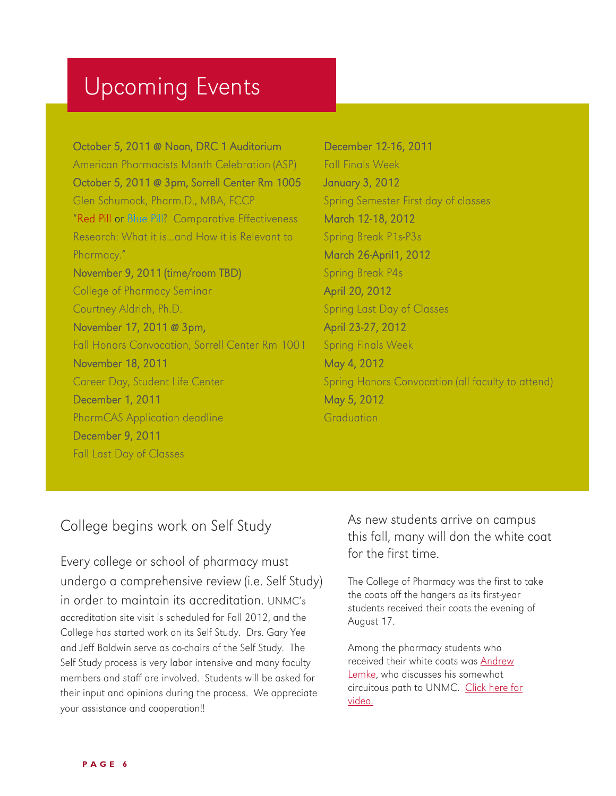# Upcoming Events

October 5, 2011 @ Noon, DRC 1 Auditorium American Pharmacists Month Celebration (ASP) October 5, 2011 @ 3pm, Sorrell Center Rm 1005 Glen Schumock, Pharm.D., MBA, FCCP "Red Pill or Blue Pill? Comparative Effectiveness Research: What it is...and How it is Relevant to Pharmacy." November 9, 2011 (time/room TBD) College of Pharmacy Seminar Courtney Aldrich, Ph.D. November 17, 2011 @ 3pm, Fall Honors Convocation, Sorrell Center Rm 1001 November 18, 2011 Career Day, Student Life Center December 1, 2011 PharmCAS Application deadline December 9, 2011 Fall Last Day of Classes

December 12-16, 2011 Fall Finals Week January 3, 2012 Spring Semester First day of classes March 12-18, 2012 Spring Break P1s-P3s March 26-April1, 2012 Spring Break P4s April 20, 2012 Spring Last Day of Classes April 23-27, 2012 Spring Finals Week May 4, 2012 Spring Honors Convocation (all faculty to attend) May 5, 2012 **Graduation** 

### College begins work on Self Study

Every college or school of pharmacy must undergo a comprehensive review (i.e. Self Study) in order to maintain its accreditation. UNMC's accreditation site visit is scheduled for Fall 2012, and the College has started work on its Self Study. Drs. Gary Yee and Jeff Baldwin serve as co-chairs of the Self Study. The Self Study process is very labor intensive and many faculty members and staff are involved. Students will be asked for their input and opinions during the process. We appreciate your assistance and cooperation!!

As new students arrive on campus this fall, many will don the white coat for the first time.

The College of Pharmacy was the first to take the coats off the hangers as its first-year students received their coats the evening of August 17.

Among the pharmacy students who received their white coats was [Andrew](http://app1.unmc.edu/PublicAffairs/TodaySite/sitefiles/today_full.cfm?match=8345)  [Lemke](http://app1.unmc.edu/PublicAffairs/TodaySite/sitefiles/today_full.cfm?match=8345), who discusses his somewhat circuitous path to UNMC. [Click here for](http://app1.unmc.edu/PublicAffairs/TodaySite/sitefiles/today_full.cfm?match=8345)  [video.](http://app1.unmc.edu/PublicAffairs/TodaySite/sitefiles/today_full.cfm?match=8345)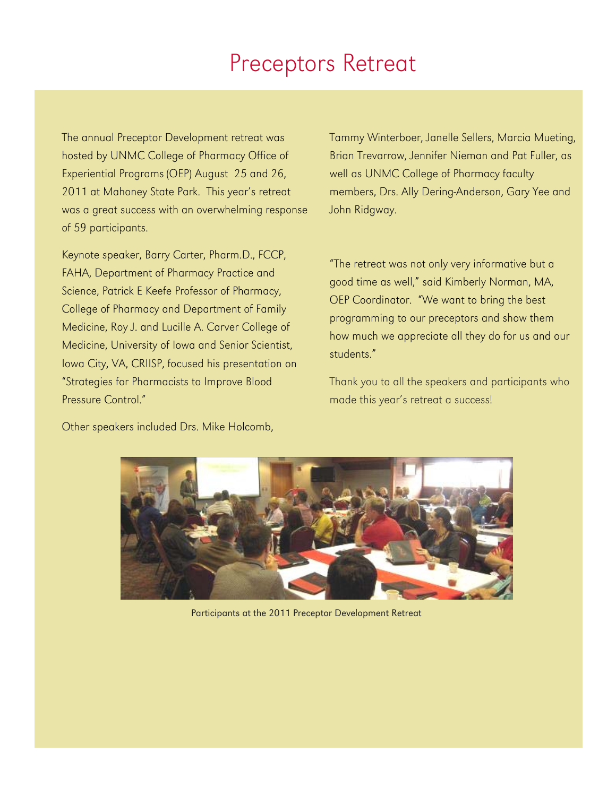## Preceptors Retreat

The annual Preceptor Development retreat was hosted by UNMC College of Pharmacy Office of Experiential Programs (OEP) August 25 and 26, 2011 at Mahoney State Park. This year's retreat was a great success with an overwhelming response of 59 participants.

Keynote speaker, Barry Carter, Pharm.D., FCCP, FAHA, Department of Pharmacy Practice and Science, Patrick E Keefe Professor of Pharmacy, College of Pharmacy and Department of Family Medicine, Roy J. and Lucille A. Carver College of Medicine, University of Iowa and Senior Scientist, Iowa City, VA, CRIISP, focused his presentation on "Strategies for Pharmacists to Improve Blood Pressure Control."

Other speakers included Drs. Mike Holcomb,

Tammy Winterboer, Janelle Sellers, Marcia Mueting, Brian Trevarrow, Jennifer Nieman and Pat Fuller, as well as UNMC College of Pharmacy faculty members, Drs. Ally Dering-Anderson, Gary Yee and John Ridgway.

"The retreat was not only very informative but a good time as well," said Kimberly Norman, MA, OEP Coordinator. "We want to bring the best programming to our preceptors and show them how much we appreciate all they do for us and our students."

Thank you to all the speakers and participants who made this year's retreat a success!



Participants at the 2011 Preceptor Development Retreat